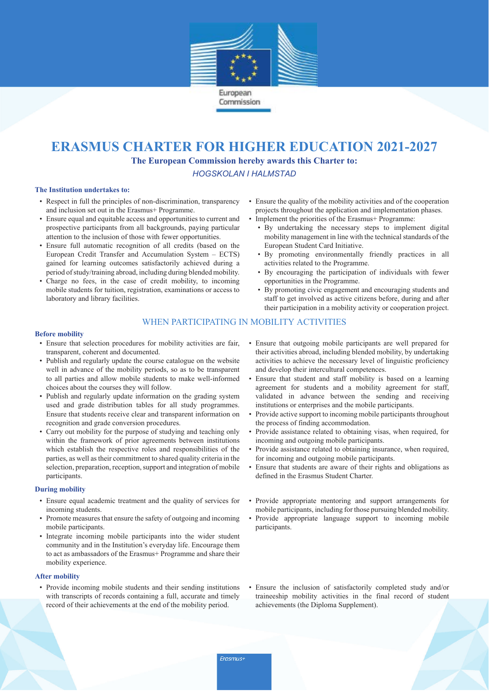

# **ERASMUS CHARTER FOR HIGHER EDUCATION 2021-2027**

**The European Commission hereby awards this Charter to:**

*HOGSKOLAN I HALMSTAD*

#### **The Institution undertakes to:**

- Respect in full the principles of non-discrimination, transparency and inclusion set out in the Erasmus+ Programme.
- Ensure equal and equitable access and opportunities to current and prospective participants from all backgrounds, paying particular attention to the inclusion of those with fewer opportunities.
- Ensure full automatic recognition of all credits (based on the European Credit Transfer and Accumulation System – ECTS) gained for learning outcomes satisfactorily achieved during a period of study/training abroad, including during blended mobility.
- Charge no fees, in the case of credit mobility, to incoming mobile students for tuition, registration, examinations or access to laboratory and library facilities.
- Ensure the quality of the mobility activities and of the cooperation projects throughout the application and implementation phases.
	- Implement the priorities of the Erasmus+ Programme: • By undertaking the necessary steps to implement digital
	- mobility management in line with the technical standards of the European Student Card Initiative.
	- By promoting environmentally friendly practices in all activities related to the Programme.
	- By encouraging the participation of individuals with fewer opportunities in the Programme.
	- By promoting civic engagement and encouraging students and staff to get involved as active citizens before, during and after their participation in a mobility activity or cooperation project.

# WHEN PARTICIPATING IN MOBILITY ACTIVITIES

#### **Before mobility**

- Ensure that selection procedures for mobility activities are fair, transparent, coherent and documented.
- Publish and regularly update the course catalogue on the website well in advance of the mobility periods, so as to be transparent to all parties and allow mobile students to make well-informed choices about the courses they will follow.
- Publish and regularly update information on the grading system used and grade distribution tables for all study programmes. Ensure that students receive clear and transparent information on recognition and grade conversion procedures.
- Carry out mobility for the purpose of studying and teaching only within the framework of prior agreements between institutions which establish the respective roles and responsibilities of the parties, as well as their commitment to shared quality criteria in the selection, preparation, reception, support and integration of mobile participants.

#### **During mobility**

- Ensure equal academic treatment and the quality of services for incoming students.
- Promote measures that ensure the safety of outgoing and incoming mobile participants.
- Integrate incoming mobile participants into the wider student community and in the Institution's everyday life. Encourage them to act as ambassadors of the Erasmus+ Programme and share their mobility experience.

### **After mobility**

• Provide incoming mobile students and their sending institutions with transcripts of records containing a full, accurate and timely record of their achievements at the end of the mobility period.

- Ensure that outgoing mobile participants are well prepared for their activities abroad, including blended mobility, by undertaking activities to achieve the necessary level of linguistic proficiency and develop their intercultural competences.
- Ensure that student and staff mobility is based on a learning agreement for students and a mobility agreement for staff, validated in advance between the sending and receiving institutions or enterprises and the mobile participants.
- Provide active support to incoming mobile participants throughout the process of finding accommodation.
- Provide assistance related to obtaining visas, when required, for incoming and outgoing mobile participants.
- Provide assistance related to obtaining insurance, when required, for incoming and outgoing mobile participants.
- Ensure that students are aware of their rights and obligations as defined in the Erasmus Student Charter.
- Provide appropriate mentoring and support arrangements for mobile participants, including for those pursuing blended mobility.
- Provide appropriate language support to incoming mobile participants.
- Ensure the inclusion of satisfactorily completed study and/or traineeship mobility activities in the final record of student achievements (the Diploma Supplement).

*Erasmus+*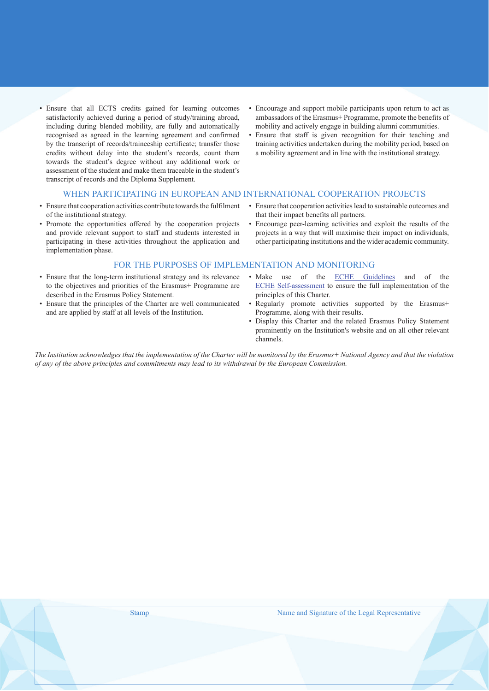- Ensure that all ECTS credits gained for learning outcomes satisfactorily achieved during a period of study/training abroad, including during blended mobility, are fully and automatically recognised as agreed in the learning agreement and confirmed by the transcript of records/traineeship certificate; transfer those credits without delay into the student's records, count them towards the student's degree without any additional work or assessment of the student and make them traceable in the student's transcript of records and the Diploma Supplement.
- Encourage and support mobile participants upon return to act as ambassadors of the Erasmus+ Programme, promote the benefits of mobility and actively engage in building alumni communities.
- Ensure that staff is given recognition for their teaching and training activities undertaken during the mobility period, based on a mobility agreement and in line with the institutional strategy.

# WHEN PARTICIPATING IN EUROPEAN AND INTERNATIONAL COOPERATION PROJECTS

- Ensure that cooperation activities contribute towards the fulfilment of the institutional strategy.
- Promote the opportunities offered by the cooperation projects and provide relevant support to staff and students interested in participating in these activities throughout the application and implementation phase.
- Ensure that cooperation activities lead to sustainable outcomes and that their impact benefits all partners.
- Encourage peer-learning activities and exploit the results of the projects in a way that will maximise their impact on individuals, other participating institutions and the wider academic community.

## FOR THE PURPOSES OF IMPLEMENTATION AND MONITORING

- Ensure that the long-term institutional strategy and its relevance to the objectives and priorities of the Erasmus+ Programme are described in the Erasmus Policy Statement.
- Ensure that the principles of the Charter are well communicated and are applied by staff at all levels of the Institution.
- Make use of the ECHE Guidelines and of the ECHE Self-assessment to ensure the full implementation of the principles of this Charter.
- Regularly promote activities supported by the Erasmus+ Programme, along with their results.
- Display this Charter and the related Erasmus Policy Statement prominently on the Institution's website and on all other relevant channels.

*The Institution acknowledges that the implementation of the Charter will be monitored by the Erasmus+ National Agency and that the violation of any of the above principles and commitments may lead to its withdrawal by the European Commission.*